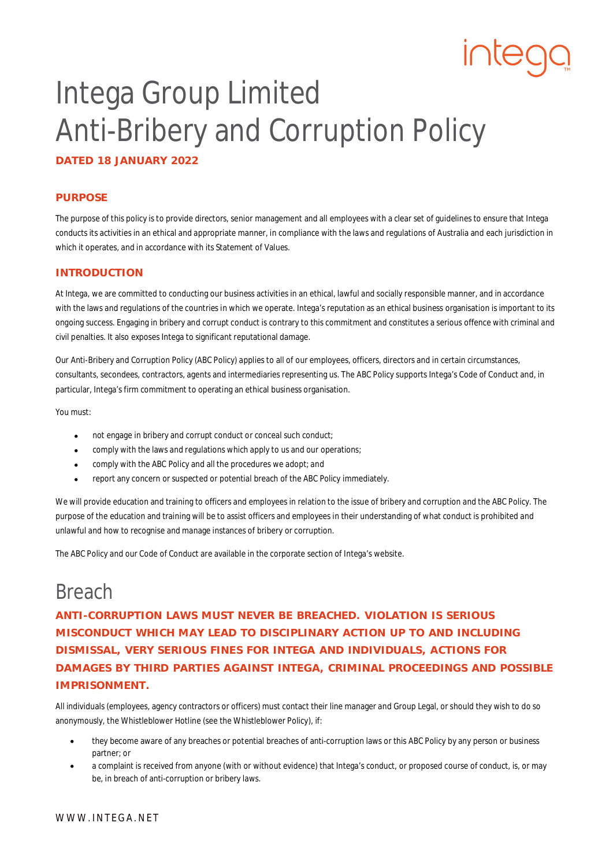# Intega Group Limited Anti-Bribery and Corruption Policy

**DATED 18 JANUARY 2022**

#### **PURPOSE**

The purpose of this policy is to provide directors, senior management and all employees with a clear set of guidelines to ensure that Intega conducts its activities in an ethical and appropriate manner, in compliance with the laws and regulations of Australia and each jurisdiction in which it operates, and in accordance with its Statement of Values.

#### **INTRODUCTION**

At Intega, we are committed to conducting our business activities in an ethical, lawful and socially responsible manner, and in accordance with the laws and regulations of the countries in which we operate. Intega's reputation as an ethical business organisation is important to its ongoing success. Engaging in bribery and corrupt conduct is contrary to this commitment and constitutes a serious offence with criminal and civil penalties. It also exposes Intega to significant reputational damage.

Our Anti-Bribery and Corruption Policy (ABC Policy) applies to all of our employees, officers, directors and in certain circumstances, consultants, secondees, contractors, agents and intermediaries representing us. The ABC Policy supports Intega's Code of Conduct and, in particular, Intega's firm commitment to operating an ethical business organisation.

You must:

- not engage in bribery and corrupt conduct or conceal such conduct;
- comply with the laws and regulations which apply to us and our operations;
- comply with the ABC Policy and all the procedures we adopt; and
- report any concern or suspected or potential breach of the ABC Policy immediately.

We will provide education and training to officers and employees in relation to the issue of bribery and corruption and the ABC Policy. The purpose of the education and training will be to assist officers and employees in their understanding of what conduct is prohibited and unlawful and how to recognise and manage instances of bribery or corruption.

The ABC Policy and our Code of Conduct are available in the corporate section of Intega's website.

#### Breach

**ANTI-CORRUPTION LAWS MUST NEVER BE BREACHED. VIOLATION IS SERIOUS MISCONDUCT WHICH MAY LEAD TO DISCIPLINARY ACTION UP TO AND INCLUDING DISMISSAL, VERY SERIOUS FINES FOR INTEGA AND INDIVIDUALS, ACTIONS FOR DAMAGES BY THIRD PARTIES AGAINST INTEGA, CRIMINAL PROCEEDINGS AND POSSIBLE IMPRISONMENT.**

All individuals (employees, agency contractors or officers) must contact their line manager and Group Legal, or should they wish to do so anonymously, the Whistleblower Hotline (see the Whistleblower Policy), if:

- they become aware of any breaches or potential breaches of anti-corruption laws or this ABC Policy by any person or business partner; or
- a complaint is received from anyone (with or without evidence) that Intega's conduct, or proposed course of conduct, is, or may be, in breach of anti-corruption or bribery laws.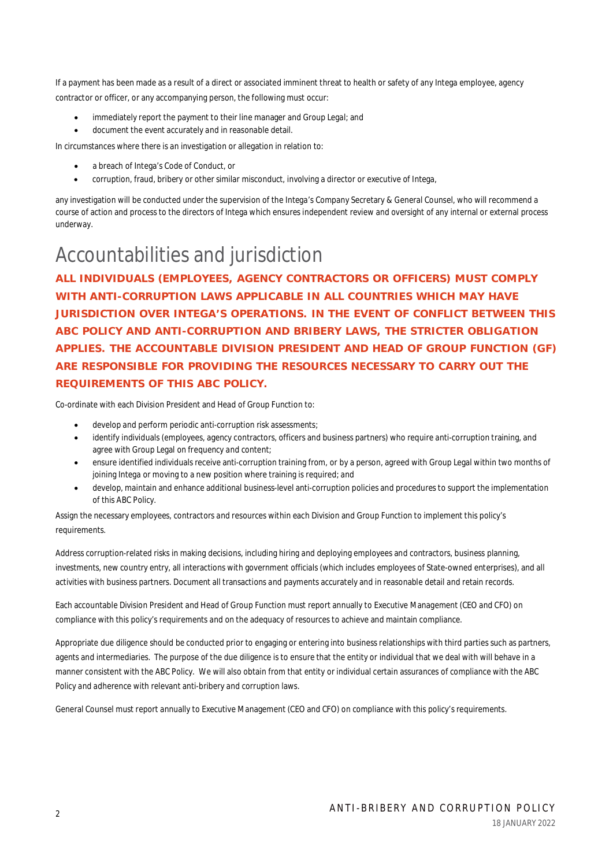If a payment has been made as a result of a direct or associated imminent threat to health or safety of any Intega employee, agency contractor or officer, or any accompanying person, the following must occur:

- immediately report the payment to their line manager and Group Legal; and
- document the event accurately and in reasonable detail.

In circumstances where there is an investigation or allegation in relation to:

- a breach of Intega's Code of Conduct, or
- corruption, fraud, bribery or other similar misconduct, involving a director or executive of Intega,

any investigation will be conducted under the supervision of the Intega's Company Secretary & General Counsel, who will recommend a course of action and process to the directors of Intega which ensures independent review and oversight of any internal or external process underway.

## Accountabilities and jurisdiction

**ALL INDIVIDUALS (EMPLOYEES, AGENCY CONTRACTORS OR OFFICERS) MUST COMPLY WITH ANTI-CORRUPTION LAWS APPLICABLE IN ALL COUNTRIES WHICH MAY HAVE JURISDICTION OVER INTEGA'S OPERATIONS. IN THE EVENT OF CONFLICT BETWEEN THIS ABC POLICY AND ANTI-CORRUPTION AND BRIBERY LAWS, THE STRICTER OBLIGATION APPLIES. THE ACCOUNTABLE DIVISION PRESIDENT AND HEAD OF GROUP FUNCTION (GF) ARE RESPONSIBLE FOR PROVIDING THE RESOURCES NECESSARY TO CARRY OUT THE REQUIREMENTS OF THIS ABC POLICY.**

Co-ordinate with each Division President and Head of Group Function to:

- develop and perform periodic anti-corruption risk assessments;
- identify individuals (employees, agency contractors, officers and business partners) who require anti-corruption training, and agree with Group Legal on frequency and content;
- ensure identified individuals receive anti-corruption training from, or by a person, agreed with Group Legal within two months of joining Intega or moving to a new position where training is required; and
- develop, maintain and enhance additional business-level anti-corruption policies and procedures to support the implementation of this ABC Policy.

Assign the necessary employees, contractors and resources within each Division and Group Function to implement this policy's requirements.

Address corruption-related risks in making decisions, including hiring and deploying employees and contractors, business planning, investments, new country entry, all interactions with government officials (which includes employees of State-owned enterprises), and all activities with business partners. Document all transactions and payments accurately and in reasonable detail and retain records.

Each accountable Division President and Head of Group Function must report annually to Executive Management (CEO and CFO) on compliance with this policy's requirements and on the adequacy of resources to achieve and maintain compliance.

Appropriate due diligence should be conducted prior to engaging or entering into business relationships with third parties such as partners, agents and intermediaries. The purpose of the due diligence is to ensure that the entity or individual that we deal with will behave in a manner consistent with the ABC Policy. We will also obtain from that entity or individual certain assurances of compliance with the ABC Policy and adherence with relevant anti-bribery and corruption laws.

General Counsel must report annually to Executive Management (CEO and CFO) on compliance with this policy's requirements.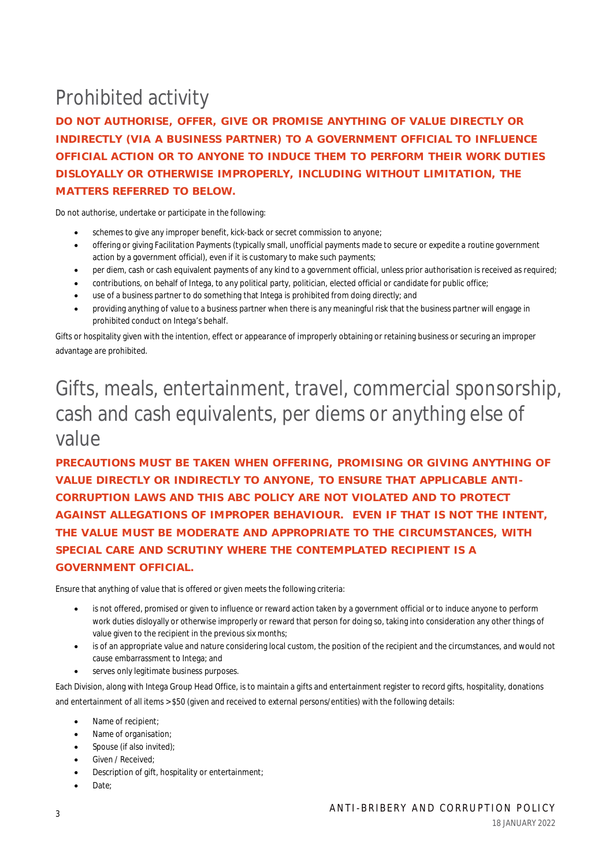## Prohibited activity

**DO NOT AUTHORISE, OFFER, GIVE OR PROMISE ANYTHING OF VALUE DIRECTLY OR INDIRECTLY (VIA A BUSINESS PARTNER) TO A GOVERNMENT OFFICIAL TO INFLUENCE OFFICIAL ACTION OR TO ANYONE TO INDUCE THEM TO PERFORM THEIR WORK DUTIES DISLOYALLY OR OTHERWISE IMPROPERLY, INCLUDING WITHOUT LIMITATION, THE MATTERS REFERRED TO BELOW.**

Do not authorise, undertake or participate in the following:

- schemes to give any improper benefit, kick-back or secret commission to anyone;
- offering or giving Facilitation Payments (typically small, unofficial payments made to secure or expedite a routine government action by a government official), even if it is customary to make such payments;
- per diem, cash or cash equivalent payments of any kind to a government official, unless prior authorisation is received as required;
- contributions, on behalf of Intega, to any political party, politician, elected official or candidate for public office;
- use of a business partner to do something that Intega is prohibited from doing directly; and
- providing anything of value to a business partner when there is any meaningful risk that the business partner will engage in prohibited conduct on Intega's behalf.

Gifts or hospitality given with the intention, effect or appearance of improperly obtaining or retaining business or securing an improper advantage are prohibited.

#### Gifts, meals, entertainment, travel, commercial sponsorship, cash and cash equivalents, per diems or anything else of value

**PRECAUTIONS MUST BE TAKEN WHEN OFFERING, PROMISING OR GIVING ANYTHING OF VALUE DIRECTLY OR INDIRECTLY TO ANYONE, TO ENSURE THAT APPLICABLE ANTI-CORRUPTION LAWS AND THIS ABC POLICY ARE NOT VIOLATED AND TO PROTECT AGAINST ALLEGATIONS OF IMPROPER BEHAVIOUR. EVEN IF THAT IS NOT THE INTENT, THE VALUE MUST BE MODERATE AND APPROPRIATE TO THE CIRCUMSTANCES, WITH SPECIAL CARE AND SCRUTINY WHERE THE CONTEMPLATED RECIPIENT IS A GOVERNMENT OFFICIAL.**

Ensure that anything of value that is offered or given meets the following criteria:

- is not offered, promised or given to influence or reward action taken by a government official or to induce anyone to perform work duties disloyally or otherwise improperly or reward that person for doing so, taking into consideration any other things of value given to the recipient in the previous six months;
- is of an appropriate value and nature considering local custom, the position of the recipient and the circumstances, and would not cause embarrassment to Intega; and
- serves only legitimate business purposes.

Each Division, along with Intega Group Head Office, is to maintain a gifts and entertainment register to record gifts, hospitality, donations and entertainment of all items > \$50 (given and received to external persons/entities) with the following details:

- Name of recipient;
- Name of organisation;
- Spouse (if also invited);
- **Given / Received;**
- Description of gift, hospitality or entertainment;
- Date;